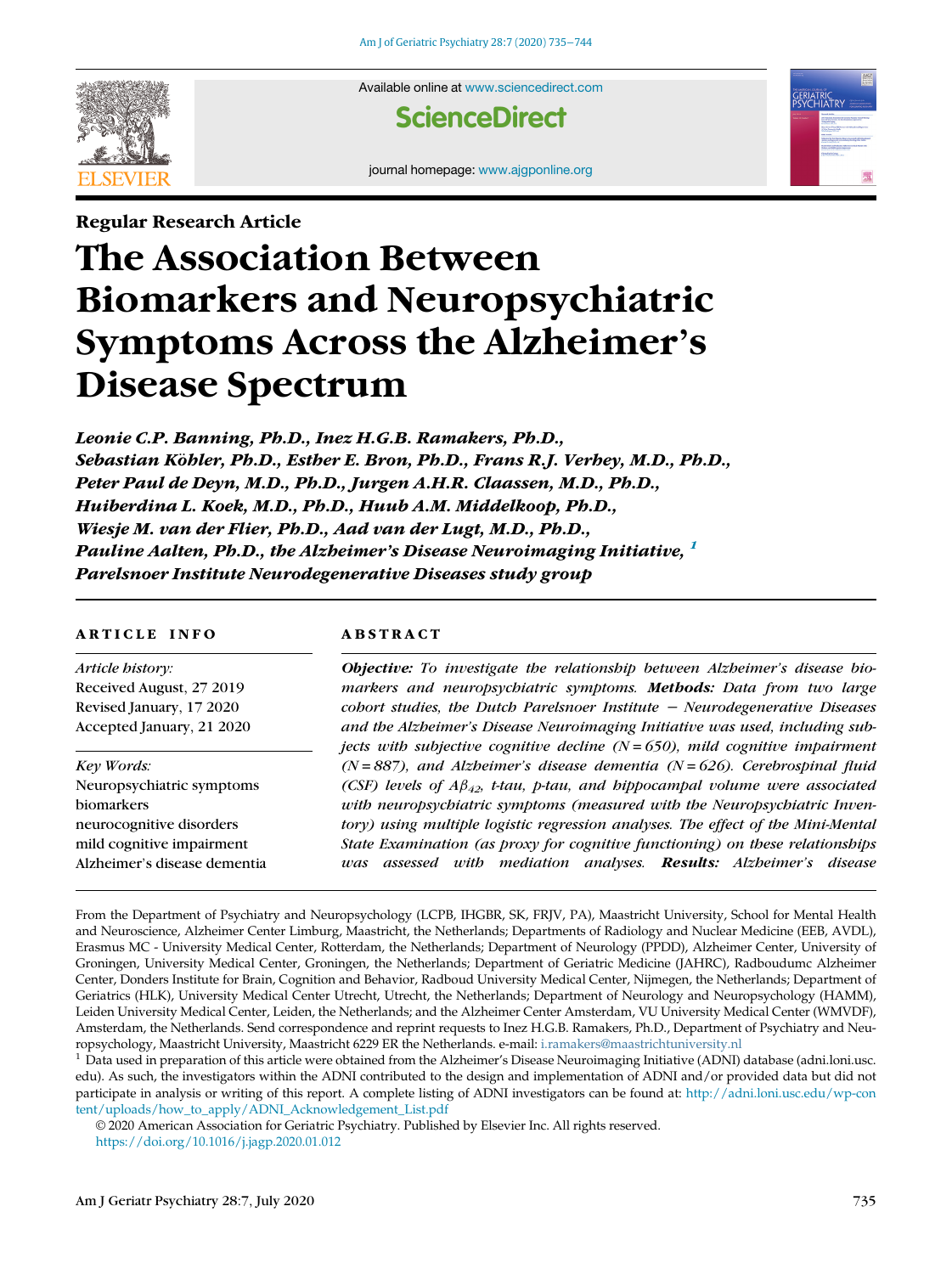

Available online at [www.sciencedirect.com](http://www.sciencedirect.com)

# **ScienceDirect**

journal homepage: [www.ajgponline.org](http://www.ajgponline.org)

# The Association Between Biomarkers and Neuropsychiatric Symptoms Across the Alzheimer's Disease Spectrum

Leonie C.P. Banning, Ph.D., Inez H.G.B. Ramakers, Ph.D., Sebastian Köhler, Ph.D., Esther E. Bron, Ph.D., Frans R.J. Verhey, M.D., Ph.D., Peter Paul de Deyn, M.D., Ph.D., Jurgen A.H.R. Claassen, M.D., Ph.D., Huiberdina L. Koek, M.D., Ph.D., Huub A.M. Middelkoop, Ph.D., Wiesje M. van der Flier, Ph.D., Aad van der Lugt, M.D., Ph.D., Pauline Aalten, Ph.D., the Alzheimer's Disease Neuroimaging Initiative,  $\frac{1}{2}$  $\frac{1}{2}$  $\frac{1}{2}$ Parelsnoer Institute Neurodegenerative Diseases study group

## ARTICLE INFO

Article history: Received August, 27 2019 Revised January, 17 2020 Accepted January, 21 2020

Key Words: Neuropsychiatric symptoms biomarkers neurocognitive disorders mild cognitive impairment Alzheimer's disease dementia

# ABSTRACT

Objective: To investigate the relationship between Alzheimer's disease biomarkers and neuropsychiatric symptoms. Methods: Data from two large cohort studies, the Dutch Parelsnoer Institute <sup>−</sup> Neurodegenerative Diseases and the Alzheimer's Disease Neuroimaging Initiative was used, including subjects with subjective cognitive decline  $(N = 650)$ , mild cognitive impairment  $(N = 887)$ , and Alzheimer's disease dementia  $(N = 626)$ . Cerebrospinal fluid (CSF) levels of  $A\beta_{42}$ , t-tau, p-tau, and hippocampal volume were associated with neuropsychiatric symptoms (measured with the Neuropsychiatric Inventory) using multiple logistic regression analyses. The effect of the Mini-Mental State Examination (as proxy for cognitive functioning) on these relationships was assessed with mediation analyses. Results: Alzheimer's disease

From the Department of Psychiatry and Neuropsychology (LCPB, IHGBR, SK, FRJV, PA), Maastricht University, School for Mental Health and Neuroscience, Alzheimer Center Limburg, Maastricht, the Netherlands; Departments of Radiology and Nuclear Medicine (EEB, AVDL), Erasmus MC - University Medical Center, Rotterdam, the Netherlands; Department of Neurology (PPDD), Alzheimer Center, University of Groningen, University Medical Center, Groningen, the Netherlands; Department of Geriatric Medicine (JAHRC), Radboudumc Alzheimer Center, Donders Institute for Brain, Cognition and Behavior, Radboud University Medical Center, Nijmegen, the Netherlands; Department of Geriatrics (HLK), University Medical Center Utrecht, Utrecht, the Netherlands; Department of Neurology and Neuropsychology (HAMM), Leiden University Medical Center, Leiden, the Netherlands; and the Alzheimer Center Amsterdam, VU University Medical Center (WMVDF), Amsterdam, the Netherlands. Send correspondence and reprint requests to Inez H.G.B. Ramakers, Ph.D., Department of Psychiatry and Neu-<br>ropsychology, Maastricht University, Maastricht 6229 ER the Netherlands. e-mail: i.rama

<span id="page-0-0"></span><sup>1</sup> Data used in preparation of this article were obtained from the Alzheimer's Disease Neuroimaging Initiative (ADNI) database (adni.loni.usc. edu). As such, the investigators within the ADNI contributed to the design and implementation of ADNI and/or provided data but did not participate in analysis or writing of this report. A complete listing of ADNI investigators can be found at: [http://adni.loni.usc.edu/wp-con](http://adni.loni.usc.edu/wp-content/uploads/how_to_apply/ADNI_Acknowledgement_List.pdf) [tent/uploads/how\\_to\\_apply/ADNI\\_Acknowledgement\\_List.pdf](http://adni.loni.usc.edu/wp-content/uploads/how_to_apply/ADNI_Acknowledgement_List.pdf)

© 2020 American Association for Geriatric Psychiatry. Published by Elsevier Inc. All rights reserved. <https://doi.org/10.1016/j.jagp.2020.01.012>

**GERIATRIC**<br>PSYCHIATR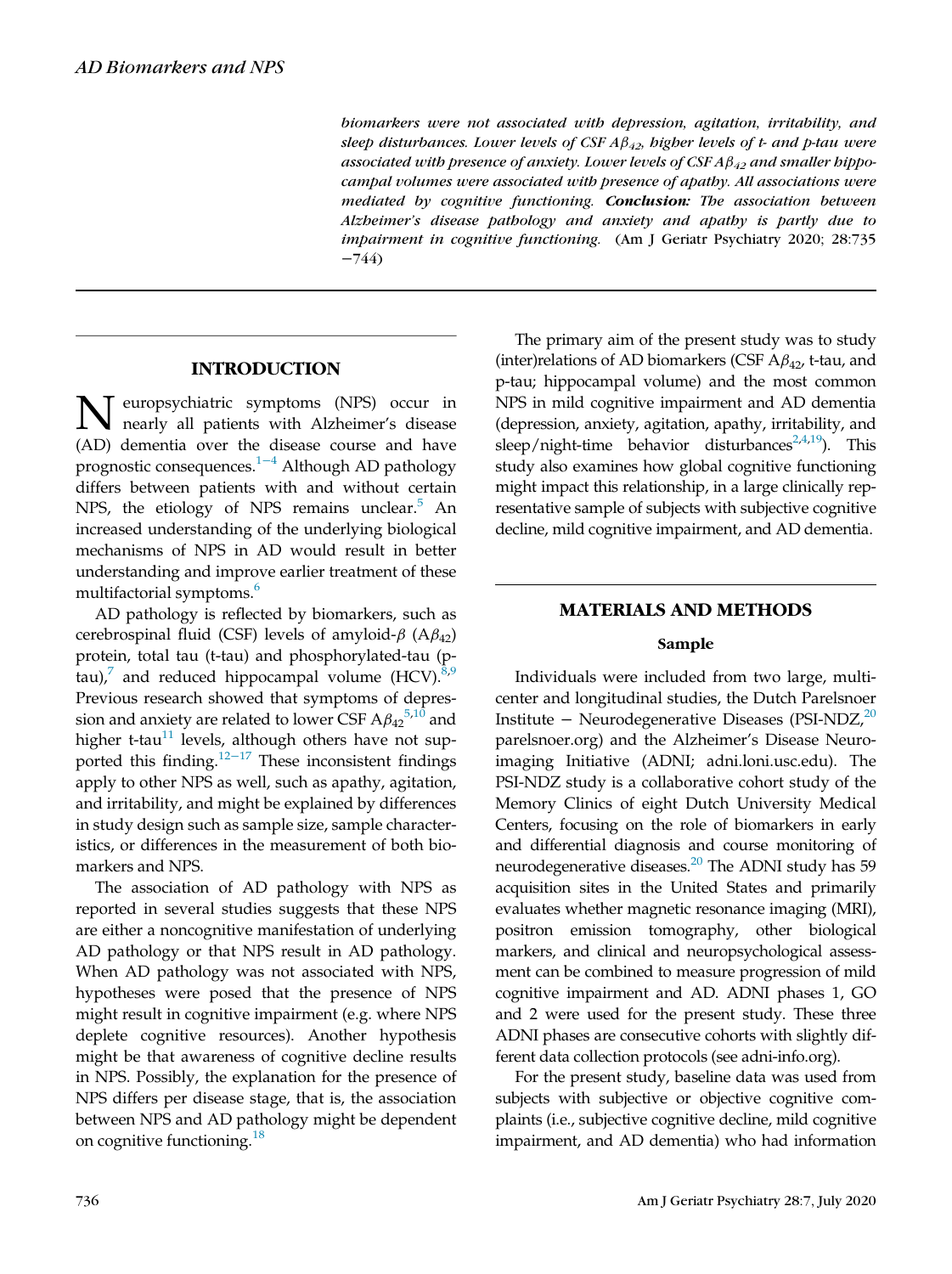biomarkers were not associated with depression, agitation, irritability, and sleep disturbances. Lower levels of CSF  $A\beta_{42}$ , higher levels of t- and p-tau were associated with presence of anxiety. Lower levels of CSF  $A\beta_{42}$  and smaller hippocampal volumes were associated with presence of apathy. All associations were mediated by cognitive functioning. **Conclusion:** The association between Alzheimer's disease pathology and anxiety and apathy is partly due to impairment in cognitive functioning. (Am J Geriatr Psychiatry 2020; 28:735 −744)

# INTRODUCTION

T europsychiatric symptoms (NPS) occur in nearly all patients with Alzheimer's disease (AD) dementia over the disease course and have prognostic consequences.<sup>1[−](#page-8-0)4</sup> Although AD pathology differs between patients with and without certain NPS, the etiology of NPS remains unclear.<sup>[5](#page-8-1)</sup> An increased understanding of the underlying biological mechanisms of NPS in AD would result in better understanding and improve earlier treatment of these multifactorial symptoms.<sup>[6](#page-8-2)</sup>

AD pathology is reflected by biomarkers, such as cerebrospinal fluid (CSF) levels of amyloid- $\beta$  (A $\beta_{42}$ ) protein, total tau (t-tau) and phosphorylated-tau (ptau), $^7$  and reduced hippocampal volume (HCV). $^{8,9}$  $^{8,9}$  $^{8,9}$ Previous research showed that symptoms of depression and anxiety are related to lower CSF  $A\beta_{42}^{-5,10}$  $A\beta_{42}^{-5,10}$  $A\beta_{42}^{-5,10}$  $A\beta_{42}^{-5,10}$  $A\beta_{42}^{-5,10}$  and higher t-tau $<sup>11</sup>$  $<sup>11</sup>$  $<sup>11</sup>$  levels, although others have not sup-</sup> ported this finding.<sup>[12](#page-8-8)−17</sup> These inconsistent findings apply to other NPS as well, such as apathy, agitation, and irritability, and might be explained by differences in study design such as sample size, sample characteristics, or differences in the measurement of both biomarkers and NPS.

The association of AD pathology with NPS as reported in several studies suggests that these NPS are either a noncognitive manifestation of underlying AD pathology or that NPS result in AD pathology. When AD pathology was not associated with NPS, hypotheses were posed that the presence of NPS might result in cognitive impairment (e.g. where NPS deplete cognitive resources). Another hypothesis might be that awareness of cognitive decline results in NPS. Possibly, the explanation for the presence of NPS differs per disease stage, that is, the association between NPS and AD pathology might be dependent on cognitive functioning.<sup>[18](#page-8-9)</sup>

The primary aim of the present study was to study (inter)relations of AD biomarkers (CSF  $A\beta_{42}$ , t-tau, and p-tau; hippocampal volume) and the most common NPS in mild cognitive impairment and AD dementia (depression, anxiety, agitation, apathy, irritability, and sleep/night-time behavior disturbances<sup>2,[4](#page-8-11)[,19](#page-8-12)</sup>). This study also examines how global cognitive functioning might impact this relationship, in a large clinically representative sample of subjects with subjective cognitive decline, mild cognitive impairment, and AD dementia.

# MATERIALS AND METHODS

#### Sample

Individuals were included from two large, multicenter and longitudinal studies, the Dutch Parelsnoer Institute − Neurodegenerative Diseases (PSI-NDZ,[20](#page-8-13) parelsnoer.org) and the Alzheimer's Disease Neuroimaging Initiative (ADNI; adni.loni.usc.edu). The PSI-NDZ study is a collaborative cohort study of the Memory Clinics of eight Dutch University Medical Centers, focusing on the role of biomarkers in early and differential diagnosis and course monitoring of neurodegenerative diseases.<sup>[20](#page-8-13)</sup> The ADNI study has 59 acquisition sites in the United States and primarily evaluates whether magnetic resonance imaging (MRI), positron emission tomography, other biological markers, and clinical and neuropsychological assessment can be combined to measure progression of mild cognitive impairment and AD. ADNI phases 1, GO and 2 were used for the present study. These three ADNI phases are consecutive cohorts with slightly different data collection protocols (see adni-info.org).

For the present study, baseline data was used from subjects with subjective or objective cognitive complaints (i.e., subjective cognitive decline, mild cognitive impairment, and AD dementia) who had information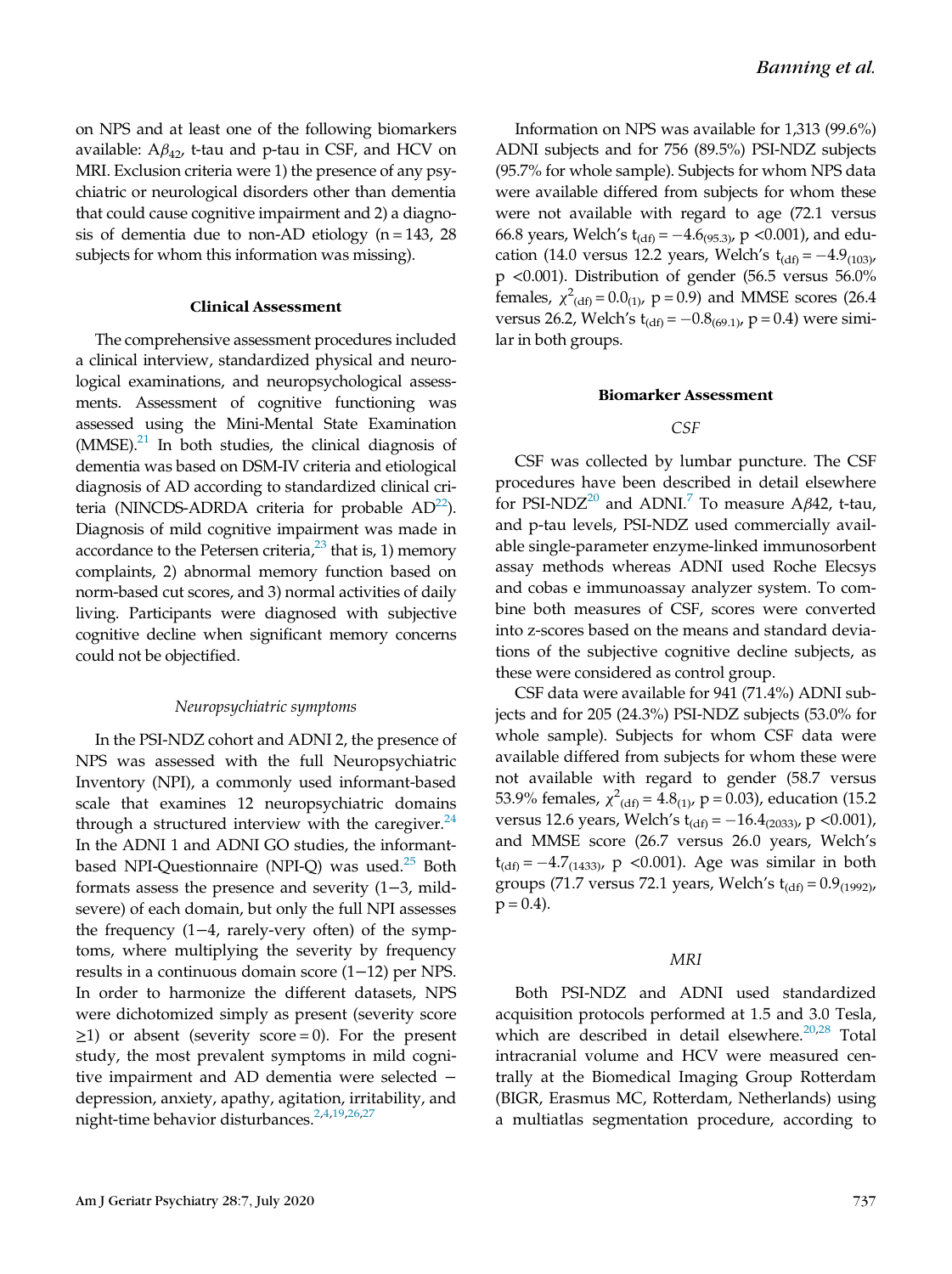on NPS and at least one of the following biomarkers available:  $A\beta_{42}$ , t-tau and p-tau in CSF, and HCV on MRI. Exclusion criteria were 1) the presence of any psychiatric or neurological disorders other than dementia that could cause cognitive impairment and 2) a diagnosis of dementia due to non-AD etiology ( $n = 143$ , 28 subjects for whom this information was missing).

#### Clinical Assessment

The comprehensive assessment procedures included a clinical interview, standardized physical and neurological examinations, and neuropsychological assessments. Assessment of cognitive functioning was assessed using the Mini-Mental State Examination  $(MMSE).<sup>21</sup>$  In both studies, the clinical diagnosis of dementia was based on DSM-IV criteria and etiological diagnosis of AD according to standardized clinical criteria (NINCDS-ADRDA criteria for probable  $AD^{22}$ ). Diagnosis of mild cognitive impairment was made in accordance to the Petersen criteria, $^{23}$  that is, 1) memory complaints, 2) abnormal memory function based on norm-based cut scores, and 3) normal activities of daily living. Participants were diagnosed with subjective cognitive decline when significant memory concerns could not be objectified.

#### Neuropsychiatric symptoms

In the PSI-NDZ cohort and ADNI 2, the presence of NPS was assessed with the full Neuropsychiatric Inventory (NPI), a commonly used informant-based scale that examines 12 neuropsychiatric domains through a structured interview with the caregiver. $^{24}$  $^{24}$  $^{24}$ In the ADNI 1 and ADNI GO studies, the informant-based NPI-Questionnaire (NPI-Q) was used.<sup>[25](#page-8-18)</sup> Both formats assess the presence and severity (1−3, mildsevere) of each domain, but only the full NPI assesses the frequency (1−4, rarely-very often) of the symptoms, where multiplying the severity by frequency results in a continuous domain score (1−12) per NPS. In order to harmonize the different datasets, NPS were dichotomized simply as present (severity score  $\geq$ 1) or absent (severity score = 0). For the present study, the most prevalent symptoms in mild cognitive impairment and AD dementia were selected − depression, anxiety, apathy, agitation, irritability, and night-time behavior disturbances.<sup>[2,](#page-8-10)[4](#page-8-11)[,19,](#page-8-12)[26](#page-8-19),[27](#page-8-20)</sup>

Information on NPS was available for 1,313 (99.6%) ADNI subjects and for 756 (89.5%) PSI-NDZ subjects (95.7% for whole sample). Subjects for whom NPS data were available differed from subjects for whom these were not available with regard to age (72.1 versus 66.8 years, Welch's  $t_{(df)} = -4.6(95.3)$ , p <0.001), and education (14.0 versus 12.2 years, Welch's  $t_{(df)} = -4.9_{(103)}$ , p <0.001). Distribution of gender (56.5 versus 56.0% females,  $\chi^2_{\text{(df)}} = 0.0_{(1)}$ ,  $p = 0.9$ ) and MMSE scores (26.4 versus 26.2, Welch's  $t_{(df)} = -0.8_{(69.1)}$ , p = 0.4) were similar in both groups.

#### Biomarker Assessment

#### **CSF**

CSF was collected by lumbar puncture. The CSF procedures have been described in detail elsewhere for PSI-NDZ<sup>[20](#page-8-13)</sup> and ADNI.<sup>[7](#page-8-3)</sup> To measure A $\beta$ 42, t-tau, and p-tau levels, PSI-NDZ used commercially available single-parameter enzyme-linked immunosorbent assay methods whereas ADNI used Roche Elecsys and cobas e immunoassay analyzer system. To combine both measures of CSF, scores were converted into z-scores based on the means and standard deviations of the subjective cognitive decline subjects, as these were considered as control group.

CSF data were available for 941 (71.4%) ADNI subjects and for 205 (24.3%) PSI-NDZ subjects (53.0% for whole sample). Subjects for whom CSF data were available differed from subjects for whom these were not available with regard to gender (58.7 versus 53.9% females,  $\chi^2_{\text{(df)}} = 4.8_{(1)}$ , p = 0.03), education (15.2 versus 12.6 years, Welch's  $t_{(df)} = -16.4_{(2033)}$ , p <0.001), and MMSE score (26.7 versus 26.0 years, Welch's  $t_{(df)} = -4.7_{(1433)}$ , p <0.001). Age was similar in both groups (71.7 versus 72.1 years, Welch's  $t_{(df)} = 0.9_{(1992)}$ ,  $p = 0.4$ ).

#### MRI

Both PSI-NDZ and ADNI used standardized acquisition protocols performed at 1.5 and 3.0 Tesla, which are described in detail elsewhere. $20,28$  $20,28$  Total intracranial volume and HCV were measured centrally at the Biomedical Imaging Group Rotterdam (BIGR, Erasmus MC, Rotterdam, Netherlands) using a multiatlas segmentation procedure, according to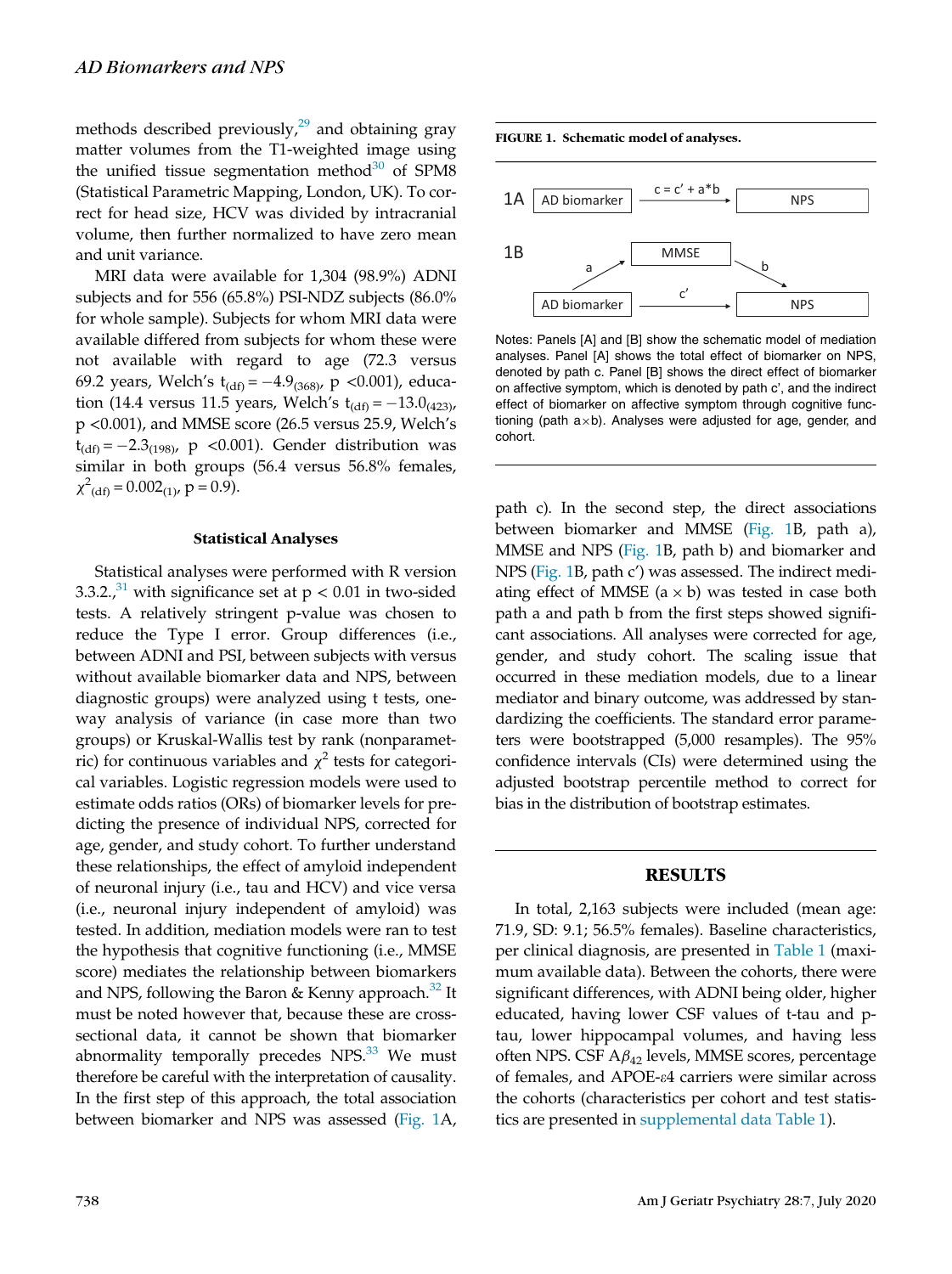<span id="page-3-0"></span>methods described previously, $29$  and obtaining gray matter volumes from the T1-weighted image using the unified tissue segmentation method $30$  of SPM8 (Statistical Parametric Mapping, London, UK). To correct for head size, HCV was divided by intracranial volume, then further normalized to have zero mean and unit variance.

MRI data were available for 1,304 (98.9%) ADNI subjects and for 556 (65.8%) PSI-NDZ subjects (86.0% for whole sample). Subjects for whom MRI data were available differed from subjects for whom these were not available with regard to age (72.3 versus 69.2 years, Welch's  $t_{(df)} = -4.9_{(368)}$ , p <0.001), education (14.4 versus 11.5 years, Welch's  $t_{(df)} = -13.0_{(423)}$ , p <0.001), and MMSE score (26.5 versus 25.9, Welch's  $t<sub>(df)</sub> = -2.3<sub>(198)</sub>$ , p <0.001). Gender distribution was similar in both groups (56.4 versus 56.8% females,  $\chi^2$ <sub>(df)</sub> = 0.002<sub>(1)</sub>, p = 0.9).

#### Statistical Analyses

Statistical analyses were performed with R version 3.3.2.,<sup>31</sup> with significance set at  $p < 0.01$  in two-sided tests. A relatively stringent p-value was chosen to reduce the Type I error. Group differences (i.e., between ADNI and PSI, between subjects with versus without available biomarker data and NPS, between diagnostic groups) were analyzed using t tests, oneway analysis of variance (in case more than two groups) or Kruskal-Wallis test by rank (nonparametric) for continuous variables and  $\chi^2$  tests for categorical variables. Logistic regression models were used to estimate odds ratios (ORs) of biomarker levels for predicting the presence of individual NPS, corrected for age, gender, and study cohort. To further understand these relationships, the effect of amyloid independent of neuronal injury (i.e., tau and HCV) and vice versa (i.e., neuronal injury independent of amyloid) was tested. In addition, mediation models were ran to test the hypothesis that cognitive functioning (i.e., MMSE score) mediates the relationship between biomarkers and NPS, following the Baron & Kenny approach.<sup>32</sup> It must be noted however that, because these are crosssectional data, it cannot be shown that biomarker abnormality temporally precedes  $NPS$ .<sup>[33](#page-9-1)</sup> We must therefore be careful with the interpretation of causality. In the first step of this approach, the total association between biomarker and NPS was assessed [\(Fig. 1A](#page-3-0),



Notes: Panels [A] and [B] show the schematic model of mediation analyses. Panel [A] shows the total effect of biomarker on NPS, denoted by path c. Panel [B] shows the direct effect of biomarker on affective symptom, which is denoted by path c', and the indirect effect of biomarker on affective symptom through cognitive functioning (path  $a \times b$ ). Analyses were adjusted for age, gender, and cohort.

path c). In the second step, the direct associations between biomarker and MMSE [\(Fig. 1](#page-3-0)B, path a), MMSE and NPS [\(Fig. 1](#page-3-0)B, path b) and biomarker and NPS [\(Fig. 1B](#page-3-0), path c') was assessed. The indirect mediating effect of MMSE  $(a \times b)$  was tested in case both path a and path b from the first steps showed significant associations. All analyses were corrected for age, gender, and study cohort. The scaling issue that occurred in these mediation models, due to a linear mediator and binary outcome, was addressed by standardizing the coefficients. The standard error parameters were bootstrapped (5,000 resamples). The 95% confidence intervals (CIs) were determined using the adjusted bootstrap percentile method to correct for bias in the distribution of bootstrap estimates.

## **RESULTS**

In total, 2,163 subjects were included (mean age: 71.9, SD: 9.1; 56.5% females). Baseline characteristics, per clinical diagnosis, are presented in [Table 1](#page-4-0) (maximum available data). Between the cohorts, there were significant differences, with ADNI being older, higher educated, having lower CSF values of t-tau and ptau, lower hippocampal volumes, and having less often NPS. CSF  $A\beta_{42}$  levels, MMSE scores, percentage of females, and APOE-e4 carriers were similar across the cohorts (characteristics per cohort and test statistics are presented in [supplemental data Table 1](#page-8-25)).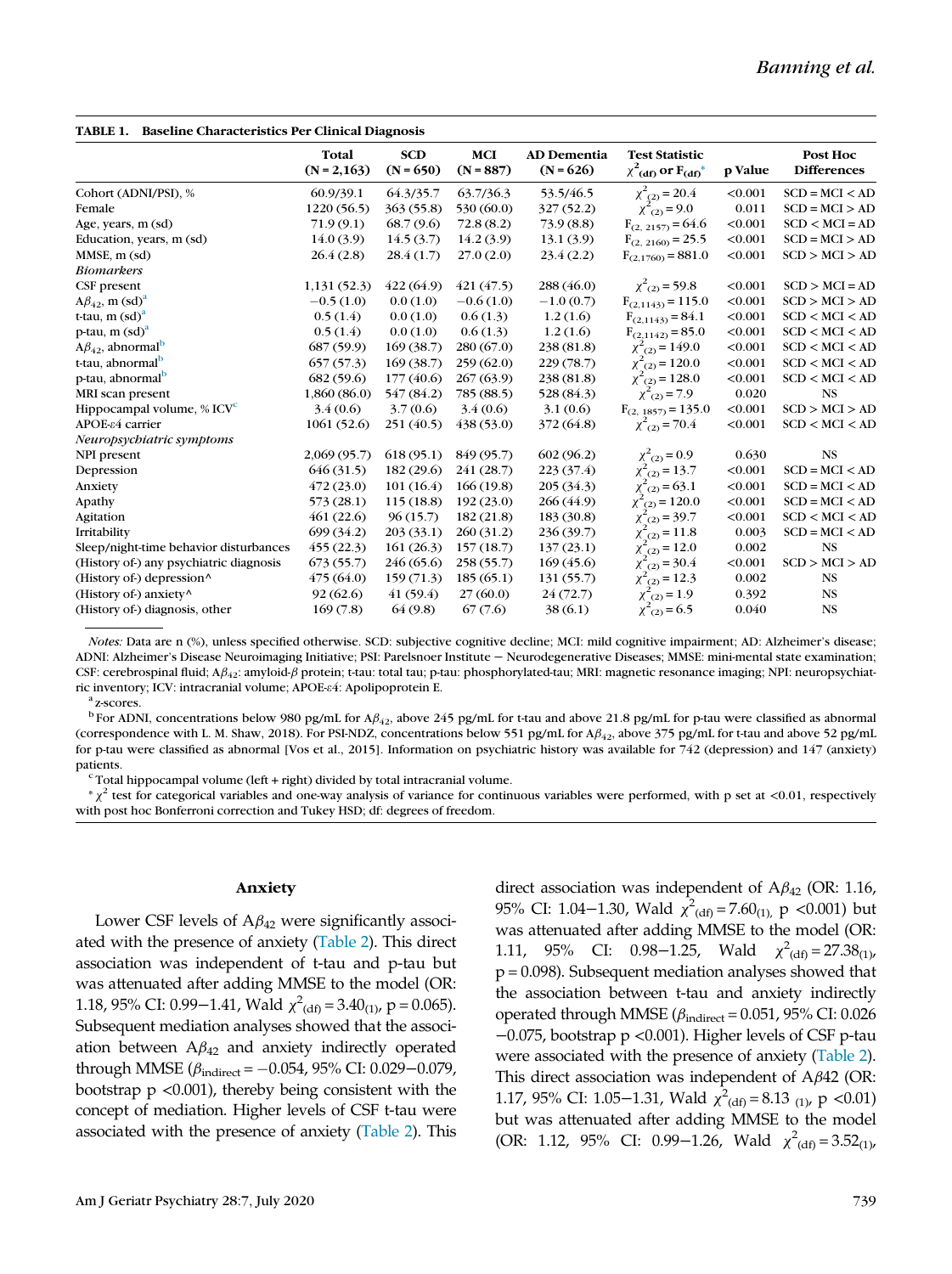<span id="page-4-0"></span>

|  | TABLE 1. Baseline Characteristics Per Clinical Diagnosis |  |
|--|----------------------------------------------------------|--|
|--|----------------------------------------------------------|--|

|                                         | Total         | <b>SCD</b>  | <b>MCI</b>  | <b>AD Dementia</b> | <b>Test Statistic</b>                             |         | Post Hoc           |
|-----------------------------------------|---------------|-------------|-------------|--------------------|---------------------------------------------------|---------|--------------------|
|                                         | $(N = 2,163)$ | $(N = 650)$ | $(N = 887)$ | $(N = 626)$        | $\chi^2$ <sub>(df)</sub> or $F$ <sub>(df)</sub> * | p Value | <b>Differences</b> |
| Cohort (ADNI/PSI), %                    | 60.9/39.1     | 64.3/35.7   | 63.7/36.3   | 53.5/46.5          | $\chi^2_{(2)} = 20.4$                             | < 0.001 | $SCD = MCI < AD$   |
| Female                                  | 1220(56.5)    | 363 (55.8)  | 530 (60.0)  | 327(52.2)          | $\chi^2_{(2)} = 9.0$                              | 0.011   | $SCD = MCI > AD$   |
| Age, years, m (sd)                      | 71.9(9.1)     | 68.7(9.6)   | 72.8(8.2)   | 73.9(8.8)          | $F_{(2, 2157)} = 64.6$                            | < 0.001 | $SCD < MCI = AD$   |
| Education, years, m (sd)                | 14.0(3.9)     | 14.5(3.7)   | 14.2(3.9)   | 13.1(3.9)          | $F_{(2, 2160)} = 25.5$                            | < 0.001 | $SCD = MCI > AD$   |
| MMSE, m (sd)                            | 26.4(2.8)     | 28.4(1.7)   | 27.0(2.0)   | 23.4(2.2)          | $F_{(2.1760)} = 881.0$                            | < 0.001 | SCD > MCI > AD     |
| <b>Biomarkers</b>                       |               |             |             |                    |                                                   |         |                    |
| CSF present                             | 1,131(52.3)   | 422(64.9)   | 421(47.5)   | 288 (46.0)         | $\chi^2_{(2)} = 59.8$                             | < 0.001 | $SCD > MCI = AD$   |
| $A\beta_{42}$ , m (sd) <sup>a</sup>     | $-0.5(1.0)$   | 0.0(1.0)    | $-0.6(1.0)$ | $-1.0(0.7)$        | $F_{(2.1143)} = 115.0$                            | < 0.001 | SCD > MCI > AD     |
| t-tau, m $\left(\text{sd}\right)^a$     | 0.5(1.4)      | 0.0(1.0)    | 0.6(1.3)    | 1.2(1.6)           | $F_{(2.1143)} = 84.1$                             | < 0.001 | SCD < MCI < AD     |
| p-tau, m $\left(\text{sd}\right)^a$     | 0.5(1.4)      | 0.0(1.0)    | 0.6(1.3)    | 1.2(1.6)           | $F_{(2,1142)} = 85.0$                             | < 0.001 | SCD < MCI < AD     |
| $A\beta_{42}$ , abnormal <sup>b</sup>   | 687(59.9)     | 169 (38.7)  | 280(67.0)   | 238 (81.8)         | $\chi^2_{(2)} = 149.0$                            | < 0.001 | SCD < MCI < AD     |
| t-tau, abnormal <sup>b</sup>            | 657(57.3)     | 169(38.7)   | 259(62.0)   | 229(78.7)          | $\chi^2_{(2)} = 120.0$                            | < 0.001 | SCD < MCI < AD     |
| p-tau, abnormal <sup>b</sup>            | 682(59.6)     | 177(40.6)   | 267(63.9)   | 238 (81.8)         | $\chi^2_{(2)} = 128.0$                            | < 0.001 | SCD < MCI < AD     |
| MRI scan present                        | 1,860(86.0)   | 547 (84.2)  | 785 (88.5)  | 528 (84.3)         | $\chi^2_{(2)} = 7.9$                              | 0.020   | <b>NS</b>          |
| Hippocampal volume, $%$ ICV $c$         | 3.4(0.6)      | 3.7(0.6)    | 3.4(0.6)    | 3.1(0.6)           | $F_{(2, 1857)} = 135.0$                           | < 0.001 | SCD > MCI > AD     |
| APOE-ε4 carrier                         | 1061(52.6)    | 251 (40.5)  | 438(53.0)   | 372 (64.8)         | $\chi^2_{(2)} = 70.4$                             | < 0.001 | SCD < MCI < AD     |
| Neuropsychiatric symptoms               |               |             |             |                    |                                                   |         |                    |
| NPI present                             | 2,069 (95.7)  | 618(95.1)   | 849 (95.7)  | 602(96.2)          | $\chi^2_{(2)} = 0.9$                              | 0.630   | <b>NS</b>          |
| Depression                              | 646 (31.5)    | 182(29.6)   | 241(28.7)   | 223(37.4)          | $\chi^2_{(2)} = 13.7$                             | < 0.001 | $SCD = MCI < AD$   |
| Anxiety                                 | 472(23.0)     | 101(16.4)   | 166(19.8)   | 205 (34.3)         | $\chi^2_{(2)} = 63.1$                             | < 0.001 | $SCD = MCI < AD$   |
| Apathy                                  | 573 (28.1)    | 115(18.8)   | 192 (23.0)  | 266 (44.9)         | $\chi^2_{(2)} = 120.0$                            | < 0.001 | $SCD = MCI < AD$   |
| Agitation                               | 461(22.6)     | 96(15.7)    | 182(21.8)   | 183 (30.8)         | $\chi^2_{(2)} = 39.7$                             | < 0.001 | SCD < MCI < AD     |
| Irritability                            | 699 (34.2)    | 203(33.1)   | 260(31.2)   | 236 (39.7)         | $\chi^2_{(2)} = 11.8$                             | 0.003   | $SCD = MCI < AD$   |
| Sleep/night-time behavior disturbances  | 455(22.3)     | 161(26.3)   | 157(18.7)   | 137(23.1)          | $\chi^2_{(2)} = 12.0$                             | 0.002   | <b>NS</b>          |
| (History of-) any psychiatric diagnosis | 673(55.7)     | 246(65.6)   | 258(55.7)   | 169(45.6)          | $\chi^2_{(2)} = 30.4$                             | < 0.001 | SCD > MCI > AD     |
| (History of-) depression <sup>^</sup>   | 475(64.0)     | 159(71.3)   | 185(65.1)   | 131(55.7)          | $\chi^2_{(2)} = 12.3$                             | 0.002   | <b>NS</b>          |
| (History of-) anxiety^                  | 92(62.6)      | 41(59.4)    | 27(60.0)    | 24(72.7)           | $\chi^2_{(2)} = 1.9$                              | 0.392   | <b>NS</b>          |
| (History of-) diagnosis, other          | 169(7.8)      | 64 (9.8)    | 67(7.6)     | 38(6.1)            | $\chi^2_{(2)} = 6.5$                              | 0.040   | <b>NS</b>          |

Notes: Data are n (%), unless specified otherwise. SCD: subjective cognitive decline; MCI: mild cognitive impairment; AD: Alzheimer's disease; ADNI: Alzheimer's Disease Neuroimaging Initiative; PSI: Parelsnoer Institute − Neurodegenerative Diseases; MMSE: mini-mental state examination; CSF: cerebrospinal fluid; A $\beta_{42}$ : amyloid- $\beta$  protein; t-tau: total tau; p-tau: phosphorylated-tau; MRI: magnetic resonance imaging; NPI: neuropsychiatric inventory; ICV: intracranial volume; APOE- $\epsilon$ 4: Apolipoprotein E.<br><sup>a</sup> z-scores.

<span id="page-4-2"></span><sup>b</sup> For ADNI, concentrations below 980 pg/mL for  $A\beta_{42}$ , above 245 pg/mL for t-tau and above 21.8 pg/mL for p-tau were classified as abnormal (correspondence with L. M. Shaw, 2018). For PSI-NDZ, concentrations below 551 pg/mL for A $\beta_{42}$ , above 375 pg/mL for t-tau and above 52 pg/mL for p-tau were classified as abnormal [Vos et al., 2015]. Information on psychiatric history was available for 742 (depression) and 147 (anxiety) patients.<br><sup>c</sup> Total hippocampal volume (left + right) divided by total intracranial volume.

<span id="page-4-3"></span><span id="page-4-1"></span>\*  $\chi^2$  test for categorical variables and one-way analysis of variance for continuous variables were performed, with p set at <0.01, respectively with post hoc Bonferroni correction and Tukey HSD; df: degrees of freedom.

#### Anxiety

Lower CSF levels of  $A\beta_{42}$  were significantly associated with the presence of anxiety [\(Table 2\)](#page-5-0). This direct association was independent of t-tau and p-tau but was attenuated after adding MMSE to the model (OR: 1.18, 95% CI: 0.99–1.41, Wald  $\chi^2_{\text{(df)}} = 3.40_{(1)}$ , p = 0.065). Subsequent mediation analyses showed that the association between  $A\beta_{42}$  and anxiety indirectly operated through MMSE ( $\beta_{indirect} = -0.054$ , 95% CI: 0.029–0.079, bootstrap  $p \leq 0.001$ , thereby being consistent with the concept of mediation. Higher levels of CSF t-tau were associated with the presence of anxiety [\(Table 2](#page-5-0)). This direct association was independent of  $A\beta_{42}$  (OR: 1.16, 95% CI: 1.04–1.30, Wald  $\chi^2_{\text{(df)}} = 7.60_{(1)}$ , p <0.001) but was attenuated after adding MMSE to the model (OR: 1.11, 95% CI: 0.98–1.25, Wald  $\chi^2_{(df)} = 27.38_{(1)}$  $p = 0.098$ ). Subsequent mediation analyses showed that the association between t-tau and anxiety indirectly operated through MMSE  $(\beta_{\text{indirect}} = 0.051, 95\% \text{ CI: } 0.026$ −0.075, bootstrap p <0.001). Higher levels of CSF p-tau were associated with the presence of anxiety [\(Table 2](#page-5-0)). This direct association was independent of  $A\beta 42$  (OR: 1.17, 95% CI: 1.05–1.31, Wald  $\chi^2_{\text{(df)}} = 8.13_{(1)}$ , p <0.01) but was attenuated after adding MMSE to the model (OR: 1.12, 95% CI: 0.99–1.26, Wald  $\chi^2_{\text{(df)}} = 3.52_{(1)}$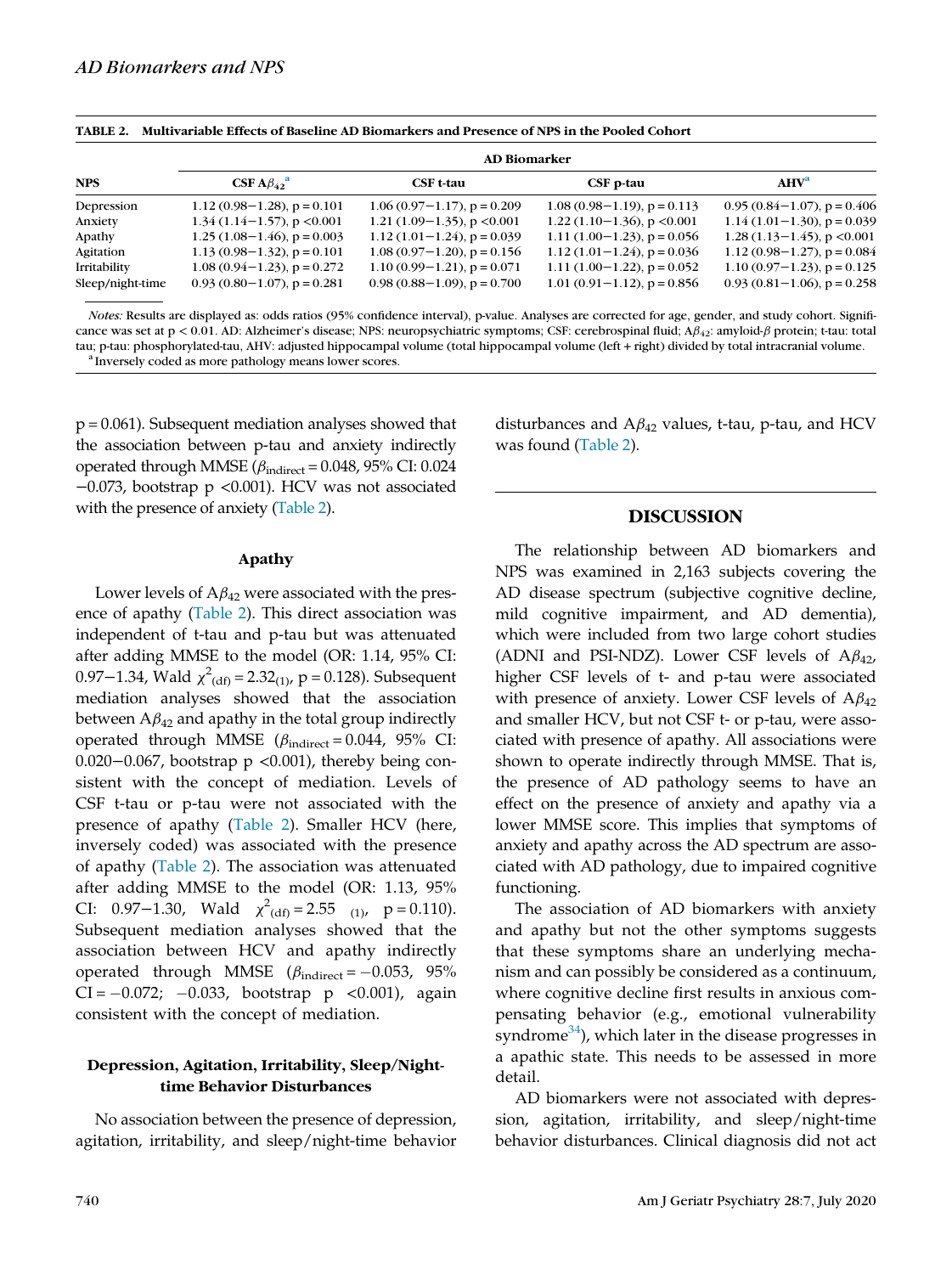|                  | <b>AD Biomarker</b>             |                                 |                                  |                                 |  |  |  |
|------------------|---------------------------------|---------------------------------|----------------------------------|---------------------------------|--|--|--|
| <b>NPS</b>       | CSF $A\beta_{42}^a$             | CSF t-tau                       | CSF p-tau                        | AHV <sup>a</sup>                |  |  |  |
| Depression       | 1.12 (0.98–1.28), $p = 0.101$   | $1.06(0.97-1.17)$ , p = 0.209   | $1.08(0.98-1.19)$ , $p = 0.113$  | $0.95(0.84-1.07)$ , p = 0.406   |  |  |  |
| Anxiety          | $1.34(1.14-1.57)$ , p < 0.001   | $1.21(1.09-1.35)$ , p < 0.001   | $1.22(1.10-1.36)$ , p < 0.001    | $1.14(1.01-1.30)$ , p = 0.039   |  |  |  |
| Apathy           | $1.25(1.08-1.46)$ , p = 0.003   | $1.12(1.01-1.24)$ , p = 0.039   | 1.11 $(1.00-1.23)$ , p = 0.056   | $1.28(1.13-1.45)$ , p < 0.001   |  |  |  |
| Agitation        | $1.13(0.98-1.32)$ , $p = 0.101$ | $1.08(0.97-1.20)$ , p = 0.156   | $1.12(1.01-1.24)$ , p = 0.036    | $1.12(0.98-1.27)$ , $p = 0.084$ |  |  |  |
| Irritability     | $1.08(0.94-1.23)$ , $p = 0.272$ | $1.10(0.99-1.21)$ , $p = 0.071$ | 1.11 $(1.00-1.22)$ , $p = 0.052$ | $1.10(0.97-1.23)$ , p = 0.125   |  |  |  |
| Sleep/night-time | $0.93(0.80-1.07)$ , p = 0.281   | $0.98(0.88-1.09)$ , $p = 0.700$ | $1.01(0.91-1.12)$ , $p = 0.856$  | $0.93(0.81-1.06)$ , p = 0.258   |  |  |  |
|                  |                                 |                                 |                                  |                                 |  |  |  |

<span id="page-5-0"></span>TABLE 2. Multivariable Effects of Baseline AD Biomarkers and Presence of NPS in the Pooled Cohort

<span id="page-5-1"></span>Notes: Results are displayed as: odds ratios (95% confidence interval), p-value. Analyses are corrected for age, gender, and study cohort. Significance was set at p < 0.01. AD: Alzheimer's disease; NPS: neuropsychiatric symptoms; CSF: cerebrospinal fluid;  $A\beta_{42}$ : amyloid- $\beta$  protein; t-tau: total tau; p-tau: phosphorylated-tau, AHV: adjusted hippocampal volume (total hippocampal volume (left + right) divided by total intracranial volume.<br><sup>a</sup> Inversely coded as more pathology means lower scores.

 $p = 0.061$ ). Subsequent mediation analyses showed that the association between p-tau and anxiety indirectly operated through MMSE ( $\beta_{\text{indirect}} = 0.048$ , 95% CI: 0.024 −0.073, bootstrap p <0.001). HCV was not associated with the presence of anxiety [\(Table 2\)](#page-5-0).

#### Apathy

Lower levels of  $A\beta_{42}$  were associated with the presence of apathy ([Table 2](#page-5-0)). This direct association was independent of t-tau and p-tau but was attenuated after adding MMSE to the model (OR: 1.14, 95% CI: 0.97–1.34, Wald  $\chi^2_{\text{(df)}} = 2.32_{(1)}$ , p = 0.128). Subsequent mediation analyses showed that the association between  $A\beta_{42}$  and apathy in the total group indirectly operated through MMSE ( $\beta_{\text{indirect}} = 0.044$ , 95% CI: 0.020−0.067, bootstrap p <0.001), thereby being consistent with the concept of mediation. Levels of CSF t-tau or p-tau were not associated with the presence of apathy [\(Table 2](#page-5-0)). Smaller HCV (here, inversely coded) was associated with the presence of apathy ([Table 2\)](#page-5-0). The association was attenuated after adding MMSE to the model (OR: 1.13, 95% CI: 0.97–1.30, Wald  $\chi^2_{\text{(df)}} = 2.55$  (1), p = 0.110). Subsequent mediation analyses showed that the association between HCV and apathy indirectly operated through MMSE  $(\beta_{indirect} = -0.053, 95\%)$  $CI = -0.072$ ;  $-0.033$ , bootstrap p <0.001), again consistent with the concept of mediation.

# Depression, Agitation, Irritability, Sleep/Nighttime Behavior Disturbances

No association between the presence of depression, agitation, irritability, and sleep/night-time behavior disturbances and  $A\beta_{42}$  values, t-tau, p-tau, and HCV was found [\(Table 2\)](#page-5-0).

## DISCUSSION

The relationship between AD biomarkers and NPS was examined in 2,163 subjects covering the AD disease spectrum (subjective cognitive decline, mild cognitive impairment, and AD dementia), which were included from two large cohort studies (ADNI and PSI-NDZ). Lower CSF levels of  $A\beta_{42}$ , higher CSF levels of t- and p-tau were associated with presence of anxiety. Lower CSF levels of  $A\beta_{42}$ and smaller HCV, but not CSF t- or p-tau, were associated with presence of apathy. All associations were shown to operate indirectly through MMSE. That is, the presence of AD pathology seems to have an effect on the presence of anxiety and apathy via a lower MMSE score. This implies that symptoms of anxiety and apathy across the AD spectrum are associated with AD pathology, due to impaired cognitive functioning.

The association of AD biomarkers with anxiety and apathy but not the other symptoms suggests that these symptoms share an underlying mechanism and can possibly be considered as a continuum, where cognitive decline first results in anxious compensating behavior (e.g., emotional vulnerability syndrome $34$ ), which later in the disease progresses in a apathic state. This needs to be assessed in more detail.

AD biomarkers were not associated with depression, agitation, irritability, and sleep/night-time behavior disturbances. Clinical diagnosis did not act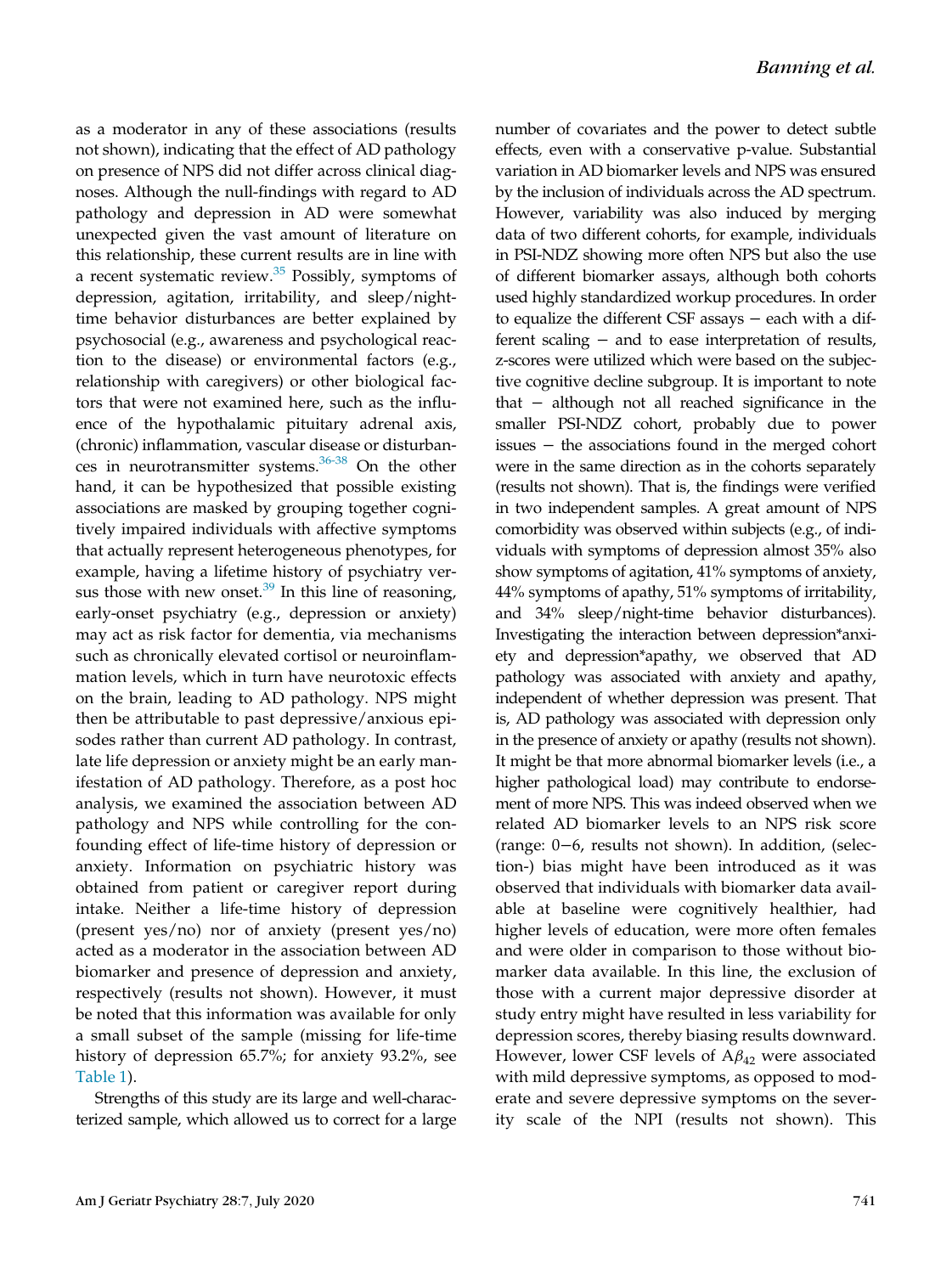as a moderator in any of these associations (results not shown), indicating that the effect of AD pathology on presence of NPS did not differ across clinical diagnoses. Although the null-findings with regard to AD pathology and depression in AD were somewhat unexpected given the vast amount of literature on this relationship, these current results are in line with a recent systematic review. $35$  Possibly, symptoms of depression, agitation, irritability, and sleep/nighttime behavior disturbances are better explained by psychosocial (e.g., awareness and psychological reaction to the disease) or environmental factors (e.g., relationship with caregivers) or other biological factors that were not examined here, such as the influence of the hypothalamic pituitary adrenal axis, (chronic) inflammation, vascular disease or disturban-ces in neurotransmitter systems.<sup>[36-38](#page-9-4)</sup> On the other hand, it can be hypothesized that possible existing associations are masked by grouping together cognitively impaired individuals with affective symptoms that actually represent heterogeneous phenotypes, for example, having a lifetime history of psychiatry ver-sus those with new onset.<sup>[39](#page-9-5)</sup> In this line of reasoning, early-onset psychiatry (e.g., depression or anxiety) may act as risk factor for dementia, via mechanisms such as chronically elevated cortisol or neuroinflammation levels, which in turn have neurotoxic effects on the brain, leading to AD pathology. NPS might then be attributable to past depressive/anxious episodes rather than current AD pathology. In contrast, late life depression or anxiety might be an early manifestation of AD pathology. Therefore, as a post hoc analysis, we examined the association between AD pathology and NPS while controlling for the confounding effect of life-time history of depression or anxiety. Information on psychiatric history was obtained from patient or caregiver report during intake. Neither a life-time history of depression (present yes/no) nor of anxiety (present yes/no) acted as a moderator in the association between AD biomarker and presence of depression and anxiety, respectively (results not shown). However, it must be noted that this information was available for only a small subset of the sample (missing for life-time history of depression 65.7%; for anxiety 93.2%, see [Table 1](#page-4-0)).

Strengths of this study are its large and well-characterized sample, which allowed us to correct for a large number of covariates and the power to detect subtle effects, even with a conservative p-value. Substantial variation in AD biomarker levels and NPS was ensured by the inclusion of individuals across the AD spectrum. However, variability was also induced by merging data of two different cohorts, for example, individuals in PSI-NDZ showing more often NPS but also the use of different biomarker assays, although both cohorts used highly standardized workup procedures. In order to equalize the different CSF assays − each with a different scaling − and to ease interpretation of results, z-scores were utilized which were based on the subjective cognitive decline subgroup. It is important to note that − although not all reached significance in the smaller PSI-NDZ cohort, probably due to power issues − the associations found in the merged cohort were in the same direction as in the cohorts separately (results not shown). That is, the findings were verified in two independent samples. A great amount of NPS comorbidity was observed within subjects (e.g., of individuals with symptoms of depression almost 35% also show symptoms of agitation, 41% symptoms of anxiety, 44% symptoms of apathy, 51% symptoms of irritability, and 34% sleep/night-time behavior disturbances). Investigating the interaction between depression\*anxiety and depression\*apathy, we observed that AD pathology was associated with anxiety and apathy, independent of whether depression was present. That is, AD pathology was associated with depression only in the presence of anxiety or apathy (results not shown). It might be that more abnormal biomarker levels (i.e., a higher pathological load) may contribute to endorsement of more NPS. This was indeed observed when we related AD biomarker levels to an NPS risk score (range: 0−6, results not shown). In addition, (selection-) bias might have been introduced as it was observed that individuals with biomarker data available at baseline were cognitively healthier, had higher levels of education, were more often females and were older in comparison to those without biomarker data available. In this line, the exclusion of those with a current major depressive disorder at study entry might have resulted in less variability for depression scores, thereby biasing results downward. However, lower CSF levels of  $A\beta_{42}$  were associated with mild depressive symptoms, as opposed to moderate and severe depressive symptoms on the severity scale of the NPI (results not shown). This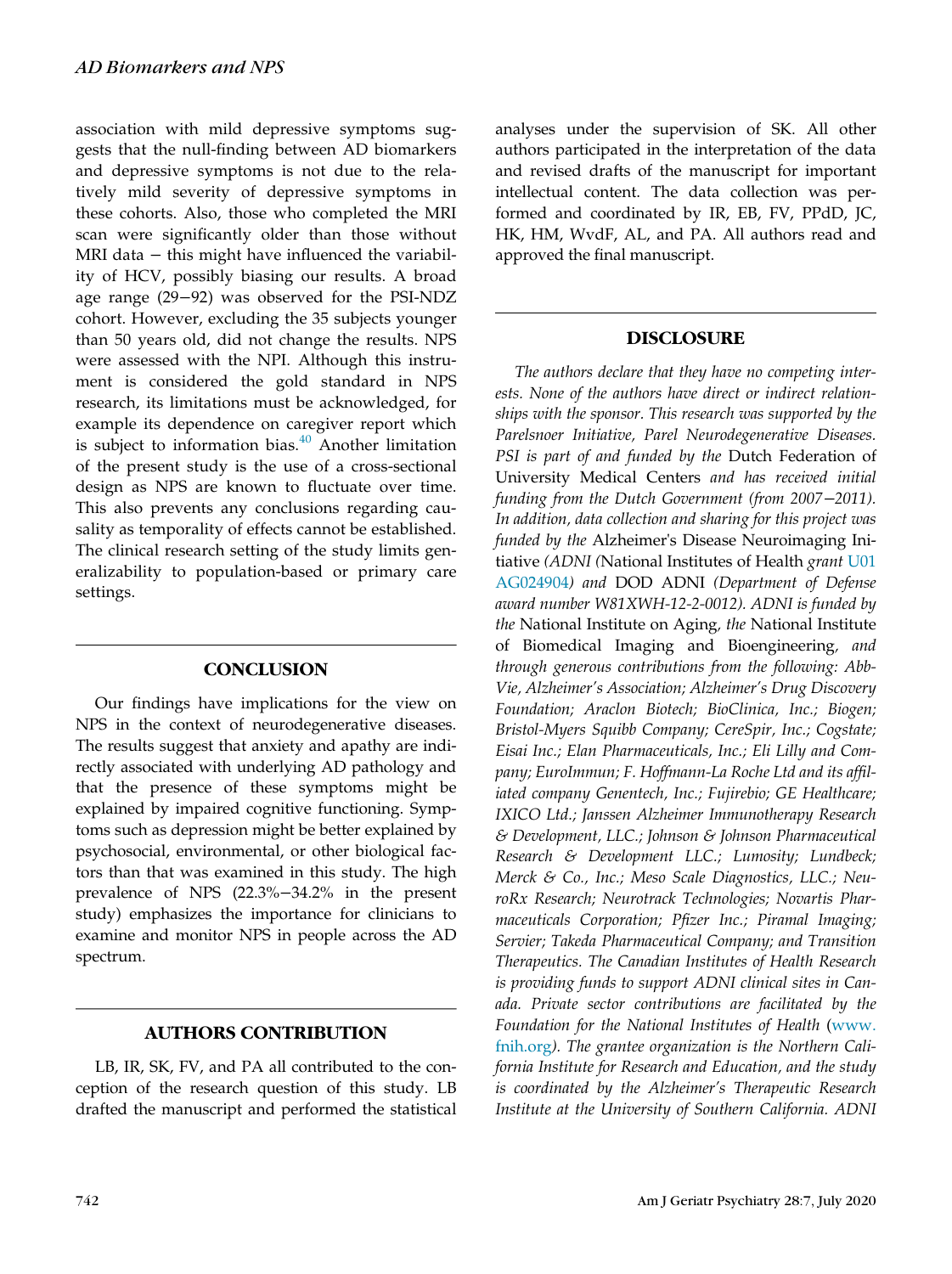association with mild depressive symptoms suggests that the null-finding between AD biomarkers and depressive symptoms is not due to the relatively mild severity of depressive symptoms in these cohorts. Also, those who completed the MRI scan were significantly older than those without MRI data – this might have influenced the variability of HCV, possibly biasing our results. A broad age range (29−92) was observed for the PSI-NDZ cohort. However, excluding the 35 subjects younger than 50 years old, did not change the results. NPS were assessed with the NPI. Although this instrument is considered the gold standard in NPS research, its limitations must be acknowledged, for example its dependence on caregiver report which is subject to information bias.<sup>[40](#page-9-6)</sup> Another limitation of the present study is the use of a cross-sectional design as NPS are known to fluctuate over time. This also prevents any conclusions regarding causality as temporality of effects cannot be established. The clinical research setting of the study limits generalizability to population-based or primary care settings.

# **CONCLUSION**

<span id="page-7-0"></span>Our findings have implications for the view on NPS in the context of neurodegenerative diseases. The results suggest that anxiety and apathy are indirectly associated with underlying AD pathology and that the presence of these symptoms might be explained by impaired cognitive functioning. Symptoms such as depression might be better explained by psychosocial, environmental, or other biological factors than that was examined in this study. The high prevalence of NPS (22.3%−34.2% in the present study) emphasizes the importance for clinicians to examine and monitor NPS in people across the AD spectrum.

# AUTHORS CONTRIBUTION

LB, IR, SK, FV, and PA all contributed to the conception of the research question of this study. LB drafted the manuscript and performed the statistical analyses under the supervision of SK. All other authors participated in the interpretation of the data and revised drafts of the manuscript for important intellectual content. The data collection was performed and coordinated by IR, EB, FV, PPdD, JC, HK, HM, WvdF, AL, and PA. All authors read and approved the final manuscript.

# DISCLOSURE

The authors declare that they have no competing interests. None of the authors have direct or indirect relationships with the sponsor. This research was supported by the Parelsnoer Initiative, Parel Neurodegenerative Diseases. PSI is part of and funded by the Dutch Federation of University Medical Centers and has received initial funding from the Dutch Government (from 2007–2011). In addition, data collection and sharing for this project was funded by the Alzheimer's Disease Neuroimaging Ini-tiative (ADNI (National Institutes of Health grant [U01](#page-7-0) [AG024904](#page-7-0)) and DOD ADNI (Department of Defense award number W81XWH-12-2-0012). ADNI is funded by the National Institute on Aging, the National Institute of Biomedical Imaging and Bioengineering, and through generous contributions from the following: Abb-Vie, Alzheimer's Association; Alzheimer's Drug Discovery Foundation; Araclon Biotech; BioClinica, Inc.; Biogen; Bristol-Myers Squibb Company; CereSpir, Inc.; Cogstate; Eisai Inc.; Elan Pharmaceuticals, Inc.; Eli Lilly and Company; EuroImmun; F. Hoffmann-La Roche Ltd and its affiliated company Genentech, Inc.; Fujirebio; GE Healthcare; IXICO Ltd.; Janssen Alzheimer Immunotherapy Research & Development, LLC.; Johnson & Johnson Pharmaceutical Research & Development LLC.; Lumosity; Lundbeck; Merck & Co., Inc.; Meso Scale Diagnostics, LLC.; NeuroRx Research; Neurotrack Technologies; Novartis Pharmaceuticals Corporation; Pfizer Inc.; Piramal Imaging; Servier; Takeda Pharmaceutical Company; and Transition Therapeutics. The Canadian Institutes of Health Research is providing funds to support ADNI clinical sites in Canada. Private sector contributions are facilitated by the Foundation for the National Institutes of Health [\(www.](http://www.fnih.org) [fnih.org](http://www.fnih.org)). The grantee organization is the Northern California Institute for Research and Education, and the study is coordinated by the Alzheimer's Therapeutic Research Institute at the University of Southern California. ADNI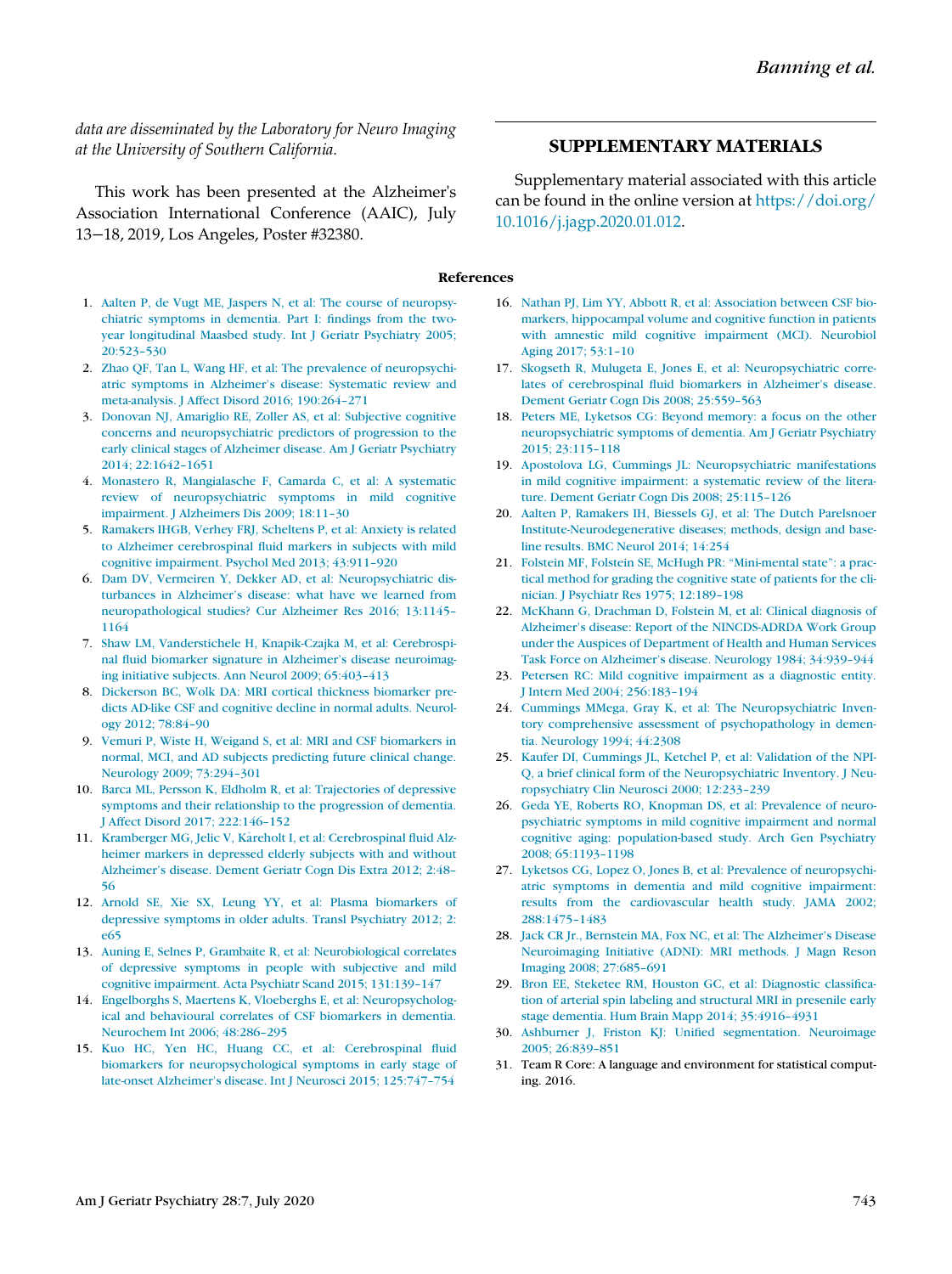<span id="page-8-25"></span>data are disseminated by the Laboratory for Neuro Imaging at the University of Southern California.

This work has been presented at the Alzheimer's Association International Conference (AAIC), July 13−18, 2019, Los Angeles, Poster #32380.

# SUPPLEMENTARY MATERIALS

Supplementary material associated with this article can be found in the online version at [https://doi.org/](https://doi.org/10.1016/j.jagp.2020.01.012) [10.1016/j.jagp.2020.01.012.](https://doi.org/10.1016/j.jagp.2020.01.012)

#### References

- <span id="page-8-0"></span>1. [Aalten P, de Vugt ME, Jaspers N, et al: The course of neuropsy](http://refhub.elsevier.com/S1064-7481(20)30025-7/sbref0001)[chiatric symptoms in dementia. Part I: findings from the two](http://refhub.elsevier.com/S1064-7481(20)30025-7/sbref0001)[year longitudinal Maasbed study. Int J Geriatr Psychiatry 2005;](http://refhub.elsevier.com/S1064-7481(20)30025-7/sbref0001) [20:523–530](http://refhub.elsevier.com/S1064-7481(20)30025-7/sbref0001)
- <span id="page-8-10"></span>2. [Zhao QF, Tan L, Wang HF, et al: The prevalence of neuropsychi](http://refhub.elsevier.com/S1064-7481(20)30025-7/sbref0002)[atric symptoms in Alzheimer's disease: Systematic review and](http://refhub.elsevier.com/S1064-7481(20)30025-7/sbref0002) [meta-analysis. J Affect Disord 2016; 190:264–271](http://refhub.elsevier.com/S1064-7481(20)30025-7/sbref0002)
- <span id="page-8-9"></span>3. [Donovan NJ, Amariglio RE, Zoller AS, et al: Subjective cognitive](http://refhub.elsevier.com/S1064-7481(20)30025-7/sbref0003) [concerns and neuropsychiatric predictors of progression to the](http://refhub.elsevier.com/S1064-7481(20)30025-7/sbref0003) [early clinical stages of Alzheimer disease. Am J Geriatr Psychiatry](http://refhub.elsevier.com/S1064-7481(20)30025-7/sbref0003) [2014; 22:1642–1651](http://refhub.elsevier.com/S1064-7481(20)30025-7/sbref0003)
- <span id="page-8-12"></span><span id="page-8-11"></span>4. [Monastero R, Mangialasche F, Camarda C, et al: A systematic](http://refhub.elsevier.com/S1064-7481(20)30025-7/sbref0004) [review of neuropsychiatric symptoms in mild cognitive](http://refhub.elsevier.com/S1064-7481(20)30025-7/sbref0004) [impairment. J Alzheimers Dis 2009; 18:11–30](http://refhub.elsevier.com/S1064-7481(20)30025-7/sbref0004)
- <span id="page-8-13"></span><span id="page-8-1"></span>5. [Ramakers IHGB, Verhey FRJ, Scheltens P, et al: Anxiety is related](http://refhub.elsevier.com/S1064-7481(20)30025-7/sbref0005) [to Alzheimer cerebrospinal fluid markers in subjects with mild](http://refhub.elsevier.com/S1064-7481(20)30025-7/sbref0005) [cognitive impairment. Psychol Med 2013; 43:911–920](http://refhub.elsevier.com/S1064-7481(20)30025-7/sbref0005)
- <span id="page-8-15"></span><span id="page-8-14"></span><span id="page-8-2"></span>6. [Dam DV, Vermeiren Y, Dekker AD, et al: Neuropsychiatric dis](http://refhub.elsevier.com/S1064-7481(20)30025-7/sbref0006)[turbances in Alzheimer](http://refhub.elsevier.com/S1064-7481(20)30025-7/sbref0006)'[s disease: what have we learned from](http://refhub.elsevier.com/S1064-7481(20)30025-7/sbref0006) [neuropathological studies? Cur Alzheimer Res 2016; 13:1145–](http://refhub.elsevier.com/S1064-7481(20)30025-7/sbref0006) [1164](http://refhub.elsevier.com/S1064-7481(20)30025-7/sbref0006)
- <span id="page-8-3"></span>7. [Shaw LM, Vanderstichele H, Knapik-Czajka M, et al: Cerebrospi](http://refhub.elsevier.com/S1064-7481(20)30025-7/sbref0007)[nal fluid biomarker signature in Alzheimer's disease neuroimag](http://refhub.elsevier.com/S1064-7481(20)30025-7/sbref0007)[ing initiative subjects. Ann Neurol 2009; 65:403–413](http://refhub.elsevier.com/S1064-7481(20)30025-7/sbref0007)
- <span id="page-8-17"></span><span id="page-8-16"></span><span id="page-8-4"></span>8. [Dickerson BC, Wolk DA: MRI cortical thickness biomarker pre](http://refhub.elsevier.com/S1064-7481(20)30025-7/sbref0008)[dicts AD-like CSF and cognitive decline in normal adults. Neurol](http://refhub.elsevier.com/S1064-7481(20)30025-7/sbref0008)[ogy 2012; 78:84–90](http://refhub.elsevier.com/S1064-7481(20)30025-7/sbref0008)
- <span id="page-8-18"></span><span id="page-8-5"></span>9. [Vemuri P, Wiste H, Weigand S, et al: MRI and CSF biomarkers in](http://refhub.elsevier.com/S1064-7481(20)30025-7/sbref0009) [normal, MCI, and AD subjects predicting future clinical change.](http://refhub.elsevier.com/S1064-7481(20)30025-7/sbref0009) [Neurology 2009; 73:294–301](http://refhub.elsevier.com/S1064-7481(20)30025-7/sbref0009)
- <span id="page-8-19"></span><span id="page-8-6"></span>10. [Barca ML, Persson K, Eldholm R, et al: Trajectories of depressive](http://refhub.elsevier.com/S1064-7481(20)30025-7/sbref0010) [symptoms and their relationship to the progression of dementia.](http://refhub.elsevier.com/S1064-7481(20)30025-7/sbref0010) [J Affect Disord 2017; 222:146–152](http://refhub.elsevier.com/S1064-7481(20)30025-7/sbref0010)
- <span id="page-8-20"></span><span id="page-8-7"></span>11. [Kramberger MG, Jelic V, Ka](http://refhub.elsevier.com/S1064-7481(20)30025-7/sbref0011) [reholt I, et al: Cerebrospinal fluid Alz](http://refhub.elsevier.com/S1064-7481(20)30025-7/sbref0011)[heimer markers in depressed elderly subjects with and without](http://refhub.elsevier.com/S1064-7481(20)30025-7/sbref0011) [Alzheimer's disease. Dement Geriatr Cogn Dis Extra 2012; 2:48–](http://refhub.elsevier.com/S1064-7481(20)30025-7/sbref0011) [56](http://refhub.elsevier.com/S1064-7481(20)30025-7/sbref0011)
- <span id="page-8-8"></span>12. [Arnold SE, Xie SX, Leung YY, et al: Plasma biomarkers of](http://refhub.elsevier.com/S1064-7481(20)30025-7/sbref0012) [depressive symptoms in older adults. Transl Psychiatry 2012; 2:](http://refhub.elsevier.com/S1064-7481(20)30025-7/sbref0012) [e65](http://refhub.elsevier.com/S1064-7481(20)30025-7/sbref0012)
- <span id="page-8-21"></span>13. [Auning E, Selnes P, Grambaite R, et al: Neurobiological correlates](http://refhub.elsevier.com/S1064-7481(20)30025-7/sbref0013) [of depressive symptoms in people with subjective and mild](http://refhub.elsevier.com/S1064-7481(20)30025-7/sbref0013) [cognitive impairment. Acta Psychiatr Scand 2015; 131:139–147](http://refhub.elsevier.com/S1064-7481(20)30025-7/sbref0013)
- <span id="page-8-22"></span>14. [Engelborghs S, Maertens K, Vloeberghs E, et al: Neuropsycholog](http://refhub.elsevier.com/S1064-7481(20)30025-7/sbref0014)[ical and behavioural correlates of CSF biomarkers in dementia.](http://refhub.elsevier.com/S1064-7481(20)30025-7/sbref0014) [Neurochem Int 2006; 48:286–295](http://refhub.elsevier.com/S1064-7481(20)30025-7/sbref0014)
- <span id="page-8-24"></span><span id="page-8-23"></span>15. [Kuo HC, Yen HC, Huang CC, et al: Cerebrospinal fluid](http://refhub.elsevier.com/S1064-7481(20)30025-7/sbref0015) [biomarkers for neuropsychological symptoms in early stage of](http://refhub.elsevier.com/S1064-7481(20)30025-7/sbref0015) [late-onset Alzheimer's disease. Int J Neurosci 2015; 125:747–754](http://refhub.elsevier.com/S1064-7481(20)30025-7/sbref0015)
- 16. [Nathan PJ, Lim YY, Abbott R, et al: Association between CSF bio](http://refhub.elsevier.com/S1064-7481(20)30025-7/sbref0016)[markers, hippocampal volume and cognitive function in patients](http://refhub.elsevier.com/S1064-7481(20)30025-7/sbref0016) [with amnestic mild cognitive impairment \(MCI\). Neurobiol](http://refhub.elsevier.com/S1064-7481(20)30025-7/sbref0016) [Aging 2017; 53:1–10](http://refhub.elsevier.com/S1064-7481(20)30025-7/sbref0016)
- 17. [Skogseth R, Mulugeta E, Jones E, et al: Neuropsychiatric corre](http://refhub.elsevier.com/S1064-7481(20)30025-7/sbref0017)[lates of cerebrospinal fluid biomarkers in Alzheimer's disease.](http://refhub.elsevier.com/S1064-7481(20)30025-7/sbref0017) [Dement Geriatr Cogn Dis 2008; 25:559–563](http://refhub.elsevier.com/S1064-7481(20)30025-7/sbref0017)
- 18. [Peters ME, Lyketsos CG: Beyond memory: a focus on the other](http://refhub.elsevier.com/S1064-7481(20)30025-7/sbref0018) [neuropsychiatric symptoms of dementia. Am J Geriatr Psychiatry](http://refhub.elsevier.com/S1064-7481(20)30025-7/sbref0018) [2015; 23:115–118](http://refhub.elsevier.com/S1064-7481(20)30025-7/sbref0018)
- 19. [Apostolova LG, Cummings JL: Neuropsychiatric manifestations](http://refhub.elsevier.com/S1064-7481(20)30025-7/sbref0019) [in mild cognitive impairment: a systematic review of the litera](http://refhub.elsevier.com/S1064-7481(20)30025-7/sbref0019)[ture. Dement Geriatr Cogn Dis 2008; 25:115–126](http://refhub.elsevier.com/S1064-7481(20)30025-7/sbref0019)
- 20. [Aalten P, Ramakers IH, Biessels GJ, et al: The Dutch Parelsnoer](http://refhub.elsevier.com/S1064-7481(20)30025-7/sbref0020) [Institute-Neurodegenerative diseases; methods, design and base](http://refhub.elsevier.com/S1064-7481(20)30025-7/sbref0020)[line results. BMC Neurol 2014; 14:254](http://refhub.elsevier.com/S1064-7481(20)30025-7/sbref0020)
- 21. [Folstein MF, Folstein SE, McHugh PR: "Mini-mental state": a prac](http://refhub.elsevier.com/S1064-7481(20)30025-7/sbref0021)[tical method for grading the cognitive state of patients for the cli](http://refhub.elsevier.com/S1064-7481(20)30025-7/sbref0021)[nician. J Psychiatr Res 1975; 12:189–198](http://refhub.elsevier.com/S1064-7481(20)30025-7/sbref0021)
- 22. [McKhann G, Drachman D, Folstein M, et al: Clinical diagnosis of](http://refhub.elsevier.com/S1064-7481(20)30025-7/sbref0022) [Alzheimer's disease: Report of the NINCDS-ADRDA Work Group](http://refhub.elsevier.com/S1064-7481(20)30025-7/sbref0022) [under the Auspices of Department of Health and Human Services](http://refhub.elsevier.com/S1064-7481(20)30025-7/sbref0022) [Task Force on Alzheimer's disease. Neurology 1984; 34:939–944](http://refhub.elsevier.com/S1064-7481(20)30025-7/sbref0022)
- 23. [Petersen RC: Mild cognitive impairment as a diagnostic entity.](http://refhub.elsevier.com/S1064-7481(20)30025-7/sbref0023) [J Intern Med 2004; 256:183–194](http://refhub.elsevier.com/S1064-7481(20)30025-7/sbref0023)
- 24. [Cummings MMega, Gray K, et al: The Neuropsychiatric Inven](http://refhub.elsevier.com/S1064-7481(20)30025-7/sbref0024)[tory comprehensive assessment of psychopathology in demen](http://refhub.elsevier.com/S1064-7481(20)30025-7/sbref0024)[tia. Neurology 1994; 44:2308](http://refhub.elsevier.com/S1064-7481(20)30025-7/sbref0024)
- 25. [Kaufer DI, Cummings JL, Ketchel P, et al: Validation of the NPI-](http://refhub.elsevier.com/S1064-7481(20)30025-7/sbref0025)[Q, a brief clinical form of the Neuropsychiatric Inventory. J Neu](http://refhub.elsevier.com/S1064-7481(20)30025-7/sbref0025)[ropsychiatry Clin Neurosci 2000; 12:233–239](http://refhub.elsevier.com/S1064-7481(20)30025-7/sbref0025)
- 26. [Geda YE, Roberts RO, Knopman DS, et al: Prevalence of neuro](http://refhub.elsevier.com/S1064-7481(20)30025-7/sbref0026)[psychiatric symptoms in mild cognitive impairment and normal](http://refhub.elsevier.com/S1064-7481(20)30025-7/sbref0026) [cognitive aging: population-based study. Arch Gen Psychiatry](http://refhub.elsevier.com/S1064-7481(20)30025-7/sbref0026) [2008; 65:1193–1198](http://refhub.elsevier.com/S1064-7481(20)30025-7/sbref0026)
- 27. [Lyketsos CG, Lopez O, Jones B, et al: Prevalence of neuropsychi](http://refhub.elsevier.com/S1064-7481(20)30025-7/sbref0027)[atric symptoms in dementia and mild cognitive impairment:](http://refhub.elsevier.com/S1064-7481(20)30025-7/sbref0027) [results from the cardiovascular health study. JAMA 2002;](http://refhub.elsevier.com/S1064-7481(20)30025-7/sbref0027) [288:1475–1483](http://refhub.elsevier.com/S1064-7481(20)30025-7/sbref0027)
- 28. [Jack CR Jr., Bernstein MA, Fox NC, et al: The Alzheimer's Disease](http://refhub.elsevier.com/S1064-7481(20)30025-7/sbref0028) [Neuroimaging Initiative \(ADNI\): MRI methods. J Magn Reson](http://refhub.elsevier.com/S1064-7481(20)30025-7/sbref0028) [Imaging 2008; 27:685–691](http://refhub.elsevier.com/S1064-7481(20)30025-7/sbref0028)
- 29. [Bron EE, Steketee RM, Houston GC, et al: Diagnostic classifica](http://refhub.elsevier.com/S1064-7481(20)30025-7/sbref0029)[tion of arterial spin labeling and structural MRI in presenile early](http://refhub.elsevier.com/S1064-7481(20)30025-7/sbref0029) [stage dementia. Hum Brain Mapp 2014; 35:4916–4931](http://refhub.elsevier.com/S1064-7481(20)30025-7/sbref0029)
- 30. [Ashburner J, Friston KJ: Unified segmentation. Neuroimage](http://refhub.elsevier.com/S1064-7481(20)30025-7/sbref0030) [2005; 26:839–851](http://refhub.elsevier.com/S1064-7481(20)30025-7/sbref0030)
- 31. Team R Core: A language and environment for statistical computing. 2016.